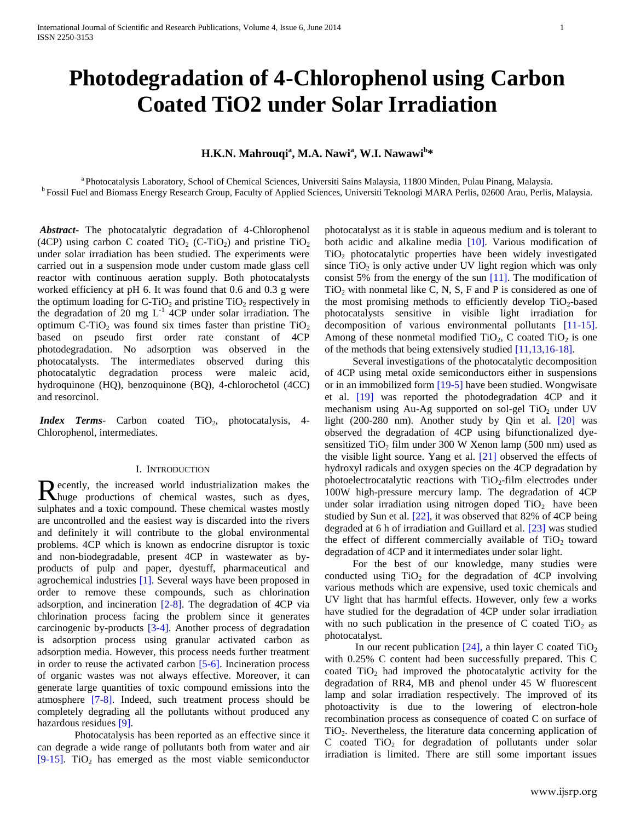# **Photodegradation of 4-Chlorophenol using Carbon Coated TiO2 under Solar Irradiation**

# **H.K.N. Mahrouqi<sup>a</sup> , M.A. Nawi<sup>a</sup> , W.I. Nawawi<sup>b</sup> \***

<sup>a</sup>Photocatalysis Laboratory, School of Chemical Sciences, Universiti Sains Malaysia, 11800 Minden, Pulau Pinang, Malaysia. <sup>b</sup> Fossil Fuel and Biomass Energy Research Group, Faculty of Applied Sciences, Universiti Teknologi MARA Perlis, 02600 Arau, Perlis, Malaysia.

*Abstract***-** The photocatalytic degradation of 4-Chlorophenol (4CP) using carbon C coated TiO<sub>2</sub> (C-TiO<sub>2</sub>) and pristine TiO<sub>2</sub> under solar irradiation has been studied. The experiments were carried out in a suspension mode under custom made glass cell reactor with continuous aeration supply. Both photocatalysts worked efficiency at pH 6. It was found that 0.6 and 0.3 g were the optimum loading for C-TiO<sub>2</sub> and pristine TiO<sub>2</sub> respectively in the degradation of 20 mg  $L^{-1}$  4CP under solar irradiation. The optimum C-TiO<sub>2</sub> was found six times faster than pristine  $TiO<sub>2</sub>$ based on pseudo first order rate constant of 4CP photodegradation. No adsorption was observed in the photocatalysts. The intermediates observed during this photocatalytic degradation process were maleic acid, hydroquinone (HQ), benzoquinone (BQ), 4-chlorochetol (4CC) and resorcinol.

*Index Terms*- Carbon coated TiO<sub>2</sub>, photocatalysis, 4-Chlorophenol, intermediates.

# I. INTRODUCTION

ecently, the increased world industrialization makes the Recently, the increased world industrialization makes the huge productions of chemical wastes, such as dyes, sulphates and a toxic compound. These chemical wastes mostly are uncontrolled and the easiest way is discarded into the rivers and definitely it will contribute to the global environmental problems. 4CP which is known as endocrine disruptor is toxic and non-biodegradable, present 4CP in wastewater as byproducts of pulp and paper, dyestuff, pharmaceutical and agrochemical industries [1]. Several ways have been proposed in order to remove these compounds, such as chlorination adsorption, and incineration  $[2-8]$ . The degradation of 4CP via chlorination process facing the problem since it generates carcinogenic by-products [3-4]. Another process of degradation is adsorption process using granular activated carbon as adsorption media. However, this process needs further treatment in order to reuse the activated carbon [5-6]. Incineration process of organic wastes was not always effective. Moreover, it can generate large quantities of toxic compound emissions into the atmosphere [7-8]. Indeed, such treatment process should be completely degrading all the pollutants without produced any hazardous residues [9].

Photocatalysis has been reported as an effective since it can degrade a wide range of pollutants both from water and air [9-15]. TiO<sub>2</sub> has emerged as the most viable semiconductor

photocatalyst as it is stable in aqueous medium and is tolerant to both acidic and alkaline media [10]. Various modification of  $TiO<sub>2</sub>$  photocatalytic properties have been widely investigated since  $TiO<sub>2</sub>$  is only active under UV light region which was only consist 5% from the energy of the sun [11]. The modification of  $TiO<sub>2</sub>$  with nonmetal like C, N, S, F and P is considered as one of the most promising methods to efficiently develop  $TiO<sub>2</sub>$ -based photocatalysts sensitive in visible light irradiation for decomposition of various environmental pollutants [11-15]. Among of these nonmetal modified  $TiO<sub>2</sub>$ , C coated  $TiO<sub>2</sub>$  is one of the methods that being extensively studied [11,13,16-18].

Several investigations of the photocatalytic decomposition of 4CP using metal oxide semiconductors either in suspensions or in an immobilized form [19-5] have been studied. Wongwisate et al. [19] was reported the photodegradation 4CP and it mechanism using Au-Ag supported on sol-gel  $TiO<sub>2</sub>$  under UV light  $(200-280 \text{ nm})$ . Another study by Qin et al.  $[20]$  was observed the degradation of 4CP using bifunctionalized dyesensitized  $TiO<sub>2</sub>$  film under 300 W Xenon lamp (500 nm) used as the visible light source. Yang et al. [21] observed the effects of hydroxyl radicals and oxygen species on the 4CP degradation by photoelectrocatalytic reactions with  $TiO<sub>2</sub>-film$  electrodes under 100W high-pressure mercury lamp. The degradation of 4CP under solar irradiation using nitrogen doped  $TiO<sub>2</sub>$  have been studied by Sun et al. [22], it was observed that 82% of 4CP being degraded at 6 h of irradiation and Guillard et al. [23] was studied the effect of different commercially available of  $TiO<sub>2</sub>$  toward degradation of 4CP and it intermediates under solar light.

For the best of our knowledge, many studies were conducted using  $TiO<sub>2</sub>$  for the degradation of 4CP involving various methods which are expensive, used toxic chemicals and UV light that has harmful effects. However, only few a works have studied for the degradation of 4CP under solar irradiation with no such publication in the presence of C coated  $TiO<sub>2</sub>$  as photocatalyst.

In our recent publication  $[24]$ , a thin layer C coated TiO<sub>2</sub> with 0.25% C content had been successfully prepared. This C coated  $TiO<sub>2</sub>$  had improved the photocatalytic activity for the degradation of RR4, MB and phenol under 45 W fluorescent lamp and solar irradiation respectively. The improved of its photoactivity is due to the lowering of electron-hole recombination process as consequence of coated C on surface of TiO2. Nevertheless, the literature data concerning application of C coated  $TiO<sub>2</sub>$  for degradation of pollutants under solar irradiation is limited. There are still some important issues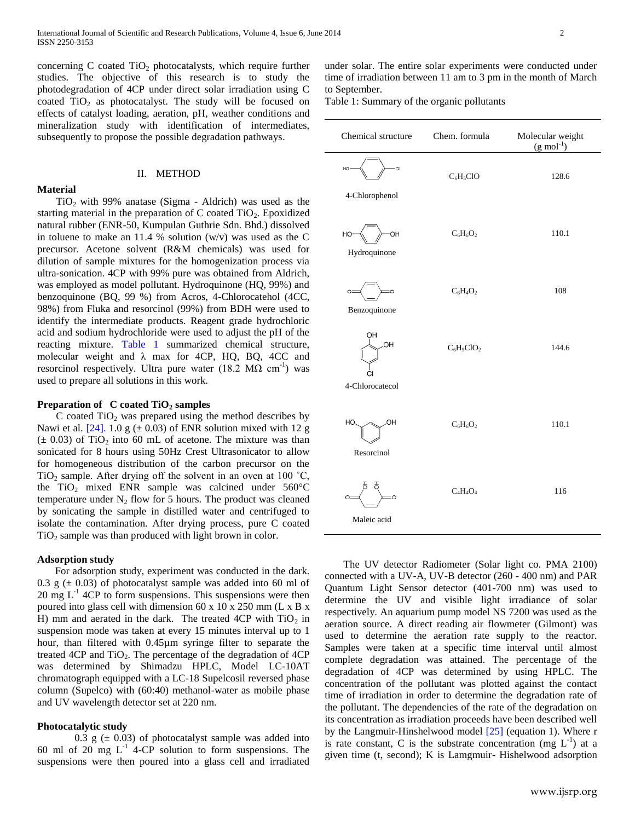concerning C coated  $TiO<sub>2</sub>$  photocatalysts, which require further studies. The objective of this research is to study the photodegradation of 4CP under direct solar irradiation using C coated  $TiO<sub>2</sub>$  as photocatalyst. The study will be focused on effects of catalyst loading, aeration, pH, weather conditions and mineralization study with identification of intermediates, subsequently to propose the possible degradation pathways.

#### **Material**

# II. METHOD

 $TiO<sub>2</sub>$  with 99% anatase (Sigma - Aldrich) was used as the starting material in the preparation of  $C$  coated  $TiO<sub>2</sub>$ . Epoxidized natural rubber (ENR-50, Kumpulan Guthrie Sdn. Bhd.) dissolved in toluene to make an 11.4 % solution  $(w/v)$  was used as the C precursor. Acetone solvent (R&M chemicals) was used for dilution of sample mixtures for the homogenization process via ultra-sonication. 4CP with 99% pure was obtained from Aldrich, was employed as model pollutant. Hydroquinone (HQ, 99%) and benzoquinone (BQ, 99 %) from Acros, 4-Chlorocatehol (4CC, 98%) from Fluka and resorcinol (99%) from BDH were used to identify the intermediate products. Reagent grade hydrochloric acid and sodium hydrochloride were used to adjust the pH of the reacting mixture. Table 1 summarized chemical structure, molecular weight and  $\lambda$  max for 4CP, HQ, BQ, 4CC and resorcinol respectively. Ultra pure water  $(18.2 \text{ M}\Omega \text{ cm}^{-1})$  was used to prepare all solutions in this work.

# **Preparation of C coated TiO<sup>2</sup> samples**

C coated  $TiO<sub>2</sub>$  was prepared using the method describes by Nawi et al. [24]. 1.0 g  $(\pm 0.03)$  of ENR solution mixed with 12 g  $(\pm 0.03)$  of TiO<sub>2</sub> into 60 mL of acetone. The mixture was than sonicated for 8 hours using 50Hz Crest Ultrasonicator to allow for homogeneous distribution of the carbon precursor on the TiO<sub>2</sub> sample. After drying off the solvent in an oven at  $100 \degree C$ , the TiO<sub>2</sub> mixed ENR sample was calcined under  $560^{\circ}$ C temperature under  $N_2$  flow for 5 hours. The product was cleaned by sonicating the sample in distilled water and centrifuged to isolate the contamination. After drying process, pure C coated  $TiO<sub>2</sub>$  sample was than produced with light brown in color.

# **Adsorption study**

For adsorption study, experiment was conducted in the dark. 0.3 g  $(\pm 0.03)$  of photocatalyst sample was added into 60 ml of 20 mg  $L^{-1}$  4CP to form suspensions. This suspensions were then poured into glass cell with dimension 60 x 10 x 250 mm (L x B x H) mm and aerated in the dark. The treated 4CP with  $TiO<sub>2</sub>$  in suspension mode was taken at every 15 minutes interval up to 1 hour, than filtered with 0.45µm syringe filter to separate the treated 4CP and  $TiO<sub>2</sub>$ . The percentage of the degradation of 4CP was determined by Shimadzu HPLC, Model LC-10AT chromatograph equipped with a LC-18 Supelcosil reversed phase column (Supelco) with (60:40) methanol-water as mobile phase and UV wavelength detector set at 220 nm.

#### **Photocatalytic study**

0.3 g  $(\pm 0.03)$  of photocatalyst sample was added into 60 ml of 20 mg  $L^{-1}$  4-CP solution to form suspensions. The suspensions were then poured into a glass cell and irradiated

under solar. The entire solar experiments were conducted under time of irradiation between 11 am to 3 pm in the month of March to September.

Table 1: Summary of the organic pollutants

| Chemical structure                | Chem. formula | Molecular weight<br>$(g \mod^{-1})$ |
|-----------------------------------|---------------|-------------------------------------|
| <b>CI</b><br>HO<br>4-Chlorophenol | $C_6H_5ClO$   | 128.6                               |
| OH<br>HO<br>Hydroquinone          | $C_6H_6O_2$   | 110.1                               |
| Ö<br>$\circ$<br>Benzoquinone      | $C_6H_4O_2$   | 108                                 |
| ΟН<br>OH<br>4-Chlorocatecol       | $C_6H_5ClO_2$ | 144.6                               |
| ЮH<br>HO<br>Resorcinol            | $C_6H_6O_2$   | 110.1                               |
| C-<br>Maleic acid                 | $C_4H_4O_4$   | 116                                 |

The UV detector Radiometer (Solar light co. PMA 2100) connected with a UV-A, UV-B detector (260 - 400 nm) and PAR Quantum Light Sensor detector (401-700 nm) was used to determine the UV and visible light irradiance of solar respectively. An aquarium pump model NS 7200 was used as the aeration source. A direct reading air flowmeter (Gilmont) was used to determine the aeration rate supply to the reactor. Samples were taken at a specific time interval until almost complete degradation was attained. The percentage of the degradation of 4CP was determined by using HPLC. The concentration of the pollutant was plotted against the contact time of irradiation in order to determine the degradation rate of the pollutant. The dependencies of the rate of the degradation on its concentration as irradiation proceeds have been described well by the Langmuir-Hinshelwood model [25] (equation 1). Where r is rate constant, C is the substrate concentration (mg  $L^{-1}$ ) at a given time (t, second); K is Lamgmuir- Hishelwood adsorption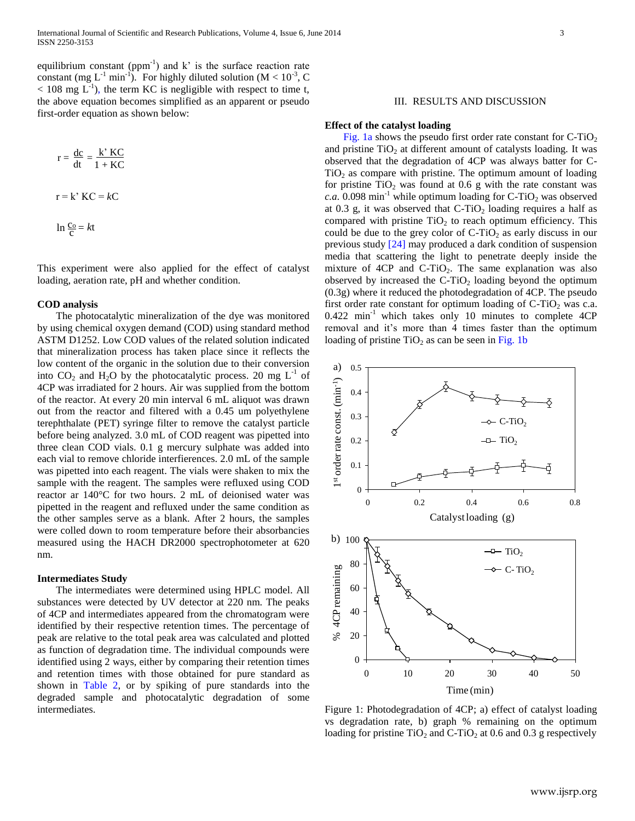equilibrium constant (ppm<sup>-1</sup>) and  $k^2$  is the surface reaction rate constant (mg L<sup>-1</sup> min<sup>-1</sup>). For highly diluted solution (M <  $10^{-3}$ , C  $<$  108 mg L<sup>-1</sup>), the term KC is negligible with respect to time t, the above equation becomes simplified as an apparent or pseudo first-order equation as shown below:

$$
r = \frac{dc}{dt} = \frac{k' \, KC}{1 + KC}
$$

$$
r = k' \, KC = kC
$$

$$
\ln \frac{c_0}{c} = kt
$$

This experiment were also applied for the effect of catalyst loading, aeration rate, pH and whether condition.

#### **COD analysis**

The photocatalytic mineralization of the dye was monitored by using chemical oxygen demand (COD) using standard method ASTM D1252. Low COD values of the related solution indicated that mineralization process has taken place since it reflects the low content of the organic in the solution due to their conversion into  $CO_2$  and H<sub>2</sub>O by the photocatalytic process. 20 mg L<sup>-1</sup> of 4CP was irradiated for 2 hours. Air was supplied from the bottom of the reactor. At every 20 min interval 6 mL aliquot was drawn out from the reactor and filtered with a 0.45 um polyethylene terephthalate (PET) syringe filter to remove the catalyst particle before being analyzed. 3.0 mL of COD reagent was pipetted into three clean COD vials. 0.1 g mercury sulphate was added into each vial to remove chloride interfierences. 2.0 mL of the sample was pipetted into each reagent. The vials were shaken to mix the sample with the reagent. The samples were refluxed using COD reactor ar 140°C for two hours. 2 mL of deionised water was pipetted in the reagent and refluxed under the same condition as the other samples serve as a blank. After 2 hours, the samples were colled down to room temperature before their absorbancies measured using the HACH DR2000 spectrophotometer at 620 nm.

# **Intermediates Study**

The intermediates were determined using HPLC model. All substances were detected by UV detector at 220 nm. The peaks of 4CP and intermediates appeared from the chromatogram were identified by their respective retention times. The percentage of peak are relative to the total peak area was calculated and plotted as function of degradation time. The individual compounds were identified using 2 ways, either by comparing their retention times and retention times with those obtained for pure standard as shown in Table 2, or by spiking of pure standards into the degraded sample and photocatalytic degradation of some intermediates.

# III. RESULTS AND DISCUSSION

#### **Effect of the catalyst loading**

Fig. 1a shows the pseudo first order rate constant for  $C-TiO<sub>2</sub>$ and pristine  $TiO<sub>2</sub>$  at different amount of catalysts loading. It was observed that the degradation of 4CP was always batter for C- $TiO<sub>2</sub>$  as compare with pristine. The optimum amount of loading for pristine  $TiO<sub>2</sub>$  was found at 0.6 g with the rate constant was  $c.a.$  0.098 min<sup>-1</sup> while optimum loading for C-TiO<sub>2</sub> was observed at 0.3 g, it was observed that  $C-TiO<sub>2</sub>$  loading requires a half as compared with pristine  $TiO<sub>2</sub>$  to reach optimum efficiency. This could be due to the grey color of  $C-TiO<sub>2</sub>$  as early discuss in our previous study [24] may produced a dark condition of suspension media that scattering the light to penetrate deeply inside the mixture of  $4CP$  and  $C-TiO<sub>2</sub>$ . The same explanation was also observed by increased the  $C-TiO<sub>2</sub>$  loading beyond the optimum (0.3g) where it reduced the photodegradation of 4CP. The pseudo first order rate constant for optimum loading of  $C-TiO<sub>2</sub>$  was c.a.  $0.422$  min<sup>-1</sup> which takes only 10 minutes to complete  $4CP$ removal and it's more than 4 times faster than the optimum loading of pristine  $TiO<sub>2</sub>$  as can be seen in Fig. 1b



Figure 1: Photodegradation of 4CP; a) effect of catalyst loading vs degradation rate, b) graph % remaining on the optimum loading for pristine TiO<sub>2</sub> and C-TiO<sub>2</sub> at 0.6 and 0.3 g respectively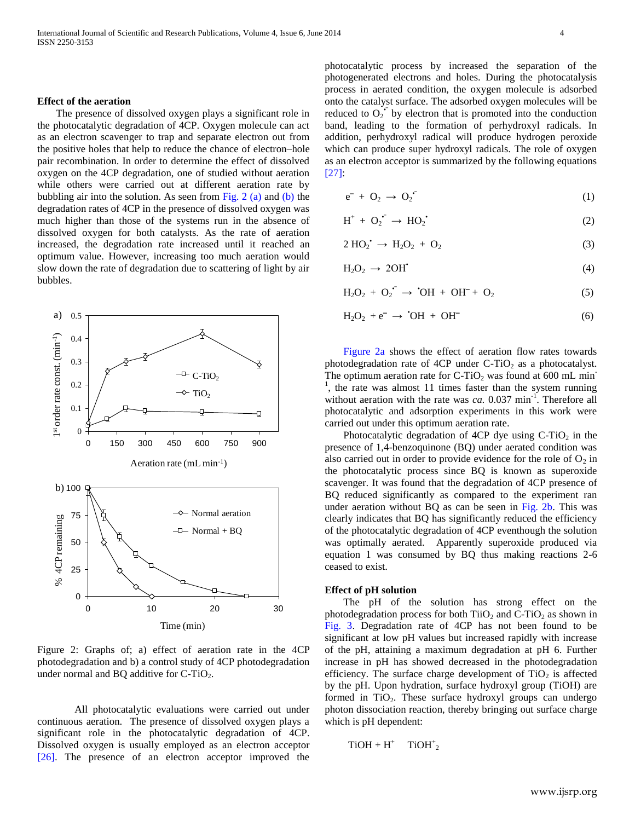#### **Effect of the aeration**

The presence of dissolved oxygen plays a significant role in the photocatalytic degradation of 4CP. Oxygen molecule can act as an electron scavenger to trap and separate electron out from the positive holes that help to reduce the chance of electron–hole pair recombination. In order to determine the effect of dissolved oxygen on the 4CP degradation, one of studied without aeration while others were carried out at different aeration rate by bubbling air into the solution. As seen from Fig.  $2$  (a) and (b) the degradation rates of 4CP in the presence of dissolved oxygen was much higher than those of the systems run in the absence of dissolved oxygen for both catalysts. As the rate of aeration increased, the degradation rate increased until it reached an optimum value. However, increasing too much aeration would slow down the rate of degradation due to scattering of light by air bubbles.



Figure 2: Graphs of; a) effect of aeration rate in the 4CP photodegradation and b) a control study of 4CP photodegradation under normal and BQ additive for  $C$ -TiO<sub>2</sub>.

All photocatalytic evaluations were carried out under continuous aeration. The presence of dissolved oxygen plays a significant role in the photocatalytic degradation of 4CP. Dissolved oxygen is usually employed as an electron acceptor [26]. The presence of an electron acceptor improved the

photocatalytic process by increased the separation of the photogenerated electrons and holes. During the photocatalysis process in aerated condition, the oxygen molecule is adsorbed onto the catalyst surface. The adsorbed oxygen molecules will be reduced to  $O_2^{\bullet}$  by electron that is promoted into the conduction band, leading to the formation of perhydroxyl radicals. In addition, perhydroxyl radical will produce hydrogen peroxide which can produce super hydroxyl radicals. The role of oxygen as an electron acceptor is summarized by the following equations [27]:

$$
e^- + O_2 \rightarrow O_2 \tag{1}
$$

$$
H^+ + O_2^{\bullet^-} \to HO_2^{\bullet}
$$
 (2)

$$
2 \text{ HO}_2^{\bullet} \rightarrow \text{H}_2\text{O}_2 + \text{O}_2 \tag{3}
$$

$$
H_2O_2 \to 2OH^* \tag{4}
$$

$$
H_2O_2 + O_2^{\bullet} \rightarrow {}^{\bullet}OH + OH^- + O_2 \tag{5}
$$

$$
H_2O_2 + e^- \rightarrow 'OH + OH^-
$$
 (6)

Figure 2a shows the effect of aeration flow rates towards photodegradation rate of 4CP under  $C$ -TiO<sub>2</sub> as a photocatalyst. The optimum aeration rate for  $C-TiO<sub>2</sub>$  was found at 600 mL min<sup>-</sup> <sup>1</sup>, the rate was almost 11 times faster than the system running without aeration with the rate was  $ca. 0.037$  min<sup>-1</sup>. Therefore all photocatalytic and adsorption experiments in this work were carried out under this optimum aeration rate.

Photocatalytic degradation of 4CP dye using  $C-TiO<sub>2</sub>$  in the presence of 1,4-benzoquinone (BQ) under aerated condition was also carried out in order to provide evidence for the role of  $O_2$  in the photocatalytic process since BQ is known as superoxide scavenger. It was found that the degradation of 4CP presence of BQ reduced significantly as compared to the experiment ran under aeration without BQ as can be seen in Fig. 2b. This was clearly indicates that BQ has significantly reduced the efficiency of the photocatalytic degradation of 4CP eventhough the solution was optimally aerated. Apparently superoxide produced via equation 1 was consumed by BQ thus making reactions 2-6 ceased to exist.

#### **Effect of pH solution**

The pH of the solution has strong effect on the photodegradation process for both  $TiO<sub>2</sub>$  and  $C-TiO<sub>2</sub>$  as shown in Fig. 3. Degradation rate of 4CP has not been found to be significant at low pH values but increased rapidly with increase of the pH, attaining a maximum degradation at pH 6. Further increase in pH has showed decreased in the photodegradation efficiency. The surface charge development of  $TiO<sub>2</sub>$  is affected by the pH. Upon hydration, surface hydroxyl group (TiOH) are formed in  $TiO<sub>2</sub>$ . These surface hydroxyl groups can undergo photon dissociation reaction, thereby bringing out surface charge which is pH dependent:

$$
TiOH + H^+ \quad TiOH^+_{\ 2}
$$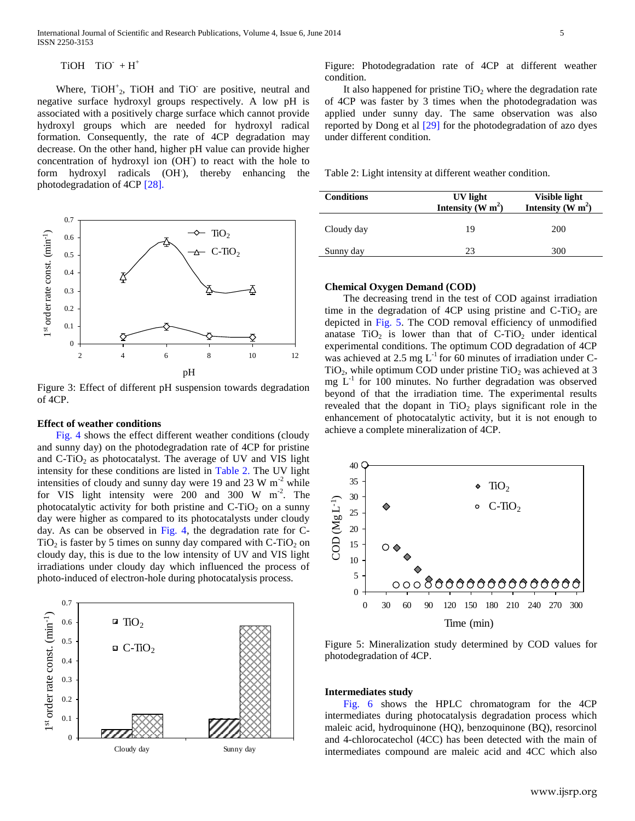$TiOH$   $TiO^+ + H^+$ 

Where,  $TiOH<sup>+</sup><sub>2</sub>$ ,  $TiOH$  and  $TiO<sup>-</sup>$  are positive, neutral and negative surface hydroxyl groups respectively. A low pH is associated with a positively charge surface which cannot provide hydroxyl groups which are needed for hydroxyl radical formation. Consequently, the rate of 4CP degradation may decrease. On the other hand, higher pH value can provide higher concentration of hydroxyl ion (OH<sup>-</sup>) to react with the hole to form hydroxyl radicals (OH), thereby enhancing the photodegradation of 4CP [28].



Figure 3: Effect of different pH suspension towards degradation of 4CP.

# **Effect of weather conditions**

Fig. 4 shows the effect different weather conditions (cloudy and sunny day) on the photodegradation rate of 4CP for pristine and  $C-TiO<sub>2</sub>$  as photocatalyst. The average of UV and VIS light intensity for these conditions are listed in Table 2. The UV light intensities of cloudy and sunny day were 19 and 23 W  $m<sup>-2</sup>$  while for VIS light intensity were  $200$  and  $300 \text{ W m}^2$ . The photocatalytic activity for both pristine and  $C-TiO<sub>2</sub>$  on a sunny day were higher as compared to its photocatalysts under cloudy day. As can be observed in Fig. 4, the degradation rate for C- $TiO<sub>2</sub>$  is faster by 5 times on sunny day compared with C-TiO<sub>2</sub> on cloudy day, this is due to the low intensity of UV and VIS light irradiations under cloudy day which influenced the process of photo-induced of electron-hole during photocatalysis process.



Figure: Photodegradation rate of 4CP at different weather condition.

It also happened for pristine  $TiO<sub>2</sub>$  where the degradation rate of 4CP was faster by 3 times when the photodegradation was applied under sunny day. The same observation was also reported by Dong et al [29] for the photodegradation of azo dyes under different condition.

Table 2: Light intensity at different weather condition.

| <b>Conditions</b> | UV light<br>Intensity $\tilde{W}$ m <sup>2</sup> ) | Visible light<br>Intensity $(\tilde{W} m^2)$ |
|-------------------|----------------------------------------------------|----------------------------------------------|
| Cloudy day        | 19                                                 | 200                                          |
| Sunny day         | 23                                                 | 300                                          |

#### **Chemical Oxygen Demand (COD)**

The decreasing trend in the test of COD against irradiation time in the degradation of 4CP using pristine and  $C-TiO<sub>2</sub>$  are depicted in Fig. 5. The COD removal efficiency of unmodified anatase  $TiO<sub>2</sub>$  is lower than that of C-TiO<sub>2</sub> under identical experimental conditions. The optimum COD degradation of 4CP was achieved at 2.5 mg  $L^{-1}$  for 60 minutes of irradiation under C-TiO<sub>2</sub>, while optimum COD under pristine TiO<sub>2</sub> was achieved at 3 mg  $L^{-1}$  for 100 minutes. No further degradation was observed beyond of that the irradiation time. The experimental results revealed that the dopant in  $TiO<sub>2</sub>$  plays significant role in the enhancement of photocatalytic activity, but it is not enough to achieve a complete mineralization of 4CP.



Figure 5: Mineralization study determined by COD values for photodegradation of 4CP.

# **Intermediates study**

Fig. 6 shows the HPLC chromatogram for the 4CP intermediates during photocatalysis degradation process which maleic acid, hydroquinone (HQ), benzoquinone (BQ), resorcinol and 4-chlorocatechol (4CC) has been detected with the main of intermediates compound are maleic acid and 4CC which also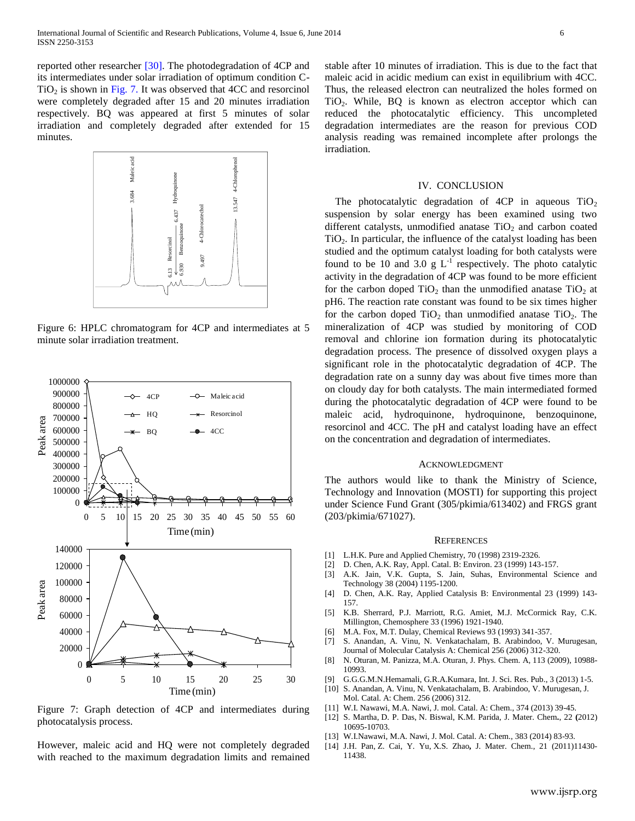reported other researcher [30]. The photodegradation of 4CP and its intermediates under solar irradiation of optimum condition C- $TiO<sub>2</sub>$  is shown in Fig. 7. It was observed that 4CC and resorcinol were completely degraded after 15 and 20 minutes irradiation respectively. BQ was appeared at first 5 minutes of solar irradiation and completely degraded after extended for 15 minutes.



Figure 6: HPLC chromatogram for 4CP and intermediates at 5 minute solar irradiation treatment.



Figure 7: Graph detection of 4CP and intermediates during photocatalysis process.

However, maleic acid and HQ were not completely degraded with reached to the maximum degradation limits and remained

stable after 10 minutes of irradiation. This is due to the fact that maleic acid in acidic medium can exist in equilibrium with 4CC. Thus, the released electron can neutralized the holes formed on TiO2. While, BQ is known as electron acceptor which can reduced the photocatalytic efficiency. This uncompleted degradation intermediates are the reason for previous COD analysis reading was remained incomplete after prolongs the irradiation.

#### IV. CONCLUSION

The photocatalytic degradation of 4CP in aqueous  $TiO<sub>2</sub>$ suspension by solar energy has been examined using two different catalysts, unmodified anatase  $TiO<sub>2</sub>$  and carbon coated TiO2. In particular, the influence of the catalyst loading has been studied and the optimum catalyst loading for both catalysts were found to be 10 and 3.0  $g L^{-1}$  respectively. The photo catalytic activity in the degradation of 4CP was found to be more efficient for the carbon doped  $TiO<sub>2</sub>$  than the unmodified anatase  $TiO<sub>2</sub>$  at pH6. The reaction rate constant was found to be six times higher for the carbon doped  $TiO<sub>2</sub>$  than unmodified anatase  $TiO<sub>2</sub>$ . The mineralization of 4CP was studied by monitoring of COD removal and chlorine ion formation during its photocatalytic degradation process. The presence of dissolved oxygen plays a significant role in the photocatalytic degradation of 4CP. The degradation rate on a sunny day was about five times more than on cloudy day for both catalysts. The main intermediated formed during the photocatalytic degradation of 4CP were found to be maleic acid, hydroquinone, hydroquinone, benzoquinone, resorcinol and 4CC. The pH and catalyst loading have an effect on the concentration and degradation of intermediates.

#### ACKNOWLEDGMENT

The authors would like to thank the Ministry of Science, Technology and Innovation (MOSTI) for supporting this project under Science Fund Grant (305/pkimia/613402) and FRGS grant (203/pkimia/671027).

#### **REFERENCES**

- [1] L.H.K. Pure and Applied Chemistry, 70 (1998) 2319-2326.
- [2] D. Chen, A.K. Ray, Appl. Catal. B: Environ. 23 (1999) 143-157.
- [3] A.K. Jain, V.K. Gupta, S. Jain, Suhas, Environmental Science and Technology 38 (2004) 1195-1200.
- [4] D. Chen, A.K. Ray, Applied Catalysis B: Environmental 23 (1999) 143- 157.
- [5] K.B. Sherrard, P.J. Marriott, R.G. Amiet, M.J. McCormick Ray, C.K. Millington, Chemosphere 33 (1996) 1921-1940.
- [6] M.A. Fox, M.T. Dulay, Chemical Reviews 93 (1993) 341-357.
- [7] S. Anandan, A. Vinu, N. Venkatachalam, B. Arabindoo, V. Murugesan, Journal of Molecular Catalysis A: Chemical 256 (2006) 312-320.
- [8] [N. Oturan,](http://pubs.acs.org/action/doSearch?action=search&author=Oturan%2C+N&qsSearchArea=author) [M. Panizza,](http://pubs.acs.org/action/doSearch?action=search&author=Panizza%2C+M&qsSearchArea=author) [M.A. Oturan,](http://pubs.acs.org/action/doSearch?action=search&author=Oturan%2C+M+A&qsSearchArea=author) J. Phys. Chem. A*,* 113 (2009), 10988- 10993.
- [9] G.G.G.M.N.Hemamali, G.R.A.Kumara, Int. J. Sci. Res. Pub., 3 (2013) 1-5.
- [10] S. Anandan, A. Vinu, N. Venkatachalam, B. Arabindoo, V. Murugesan, J. Mol. Catal. A: Chem. 256 (2006) 312.
- [11] W.I. Nawawi, M.A. Nawi, J. mol. Catal. A: Chem., 374 (2013) 39-45.
- [12] [S. Martha,](http://pubs.rsc.org/en/results?searchtext=Author%3ASatyabadi%20Martha) [D. P. Das,](http://pubs.rsc.org/en/results?searchtext=Author%3AD.%20P.%20Das) N. [Biswal,](http://pubs.rsc.org/en/results?searchtext=Author%3ANiranjan%20Biswal) [K.M. Parida,](http://pubs.rsc.org/en/results?searchtext=Author%3AK.%20M.%20Parida) J. Mater. Chem**.**, 22 **(**2012) 10695-10703.
- [13] W.I.Nawawi, M.A. Nawi, J. Mol. Catal. A: Chem., 383 (2014) 83-93.
- [14] J.H. [Pan,](http://pubs.rsc.org/en/results?searchtext=Author%3AJia%20Hong%20Pan) [Z. Cai,](http://pubs.rsc.org/en/results?searchtext=Author%3AZhongyu%20Cai) [Y. Yu,](http://pubs.rsc.org/en/results?searchtext=Author%3AYong%20Yu) [X.S. Zhao](http://pubs.rsc.org/en/results?searchtext=Author%3AX.%20S.%20Zhao)**,** J. Mater. Chem., 21 (2011)11430- 11438.